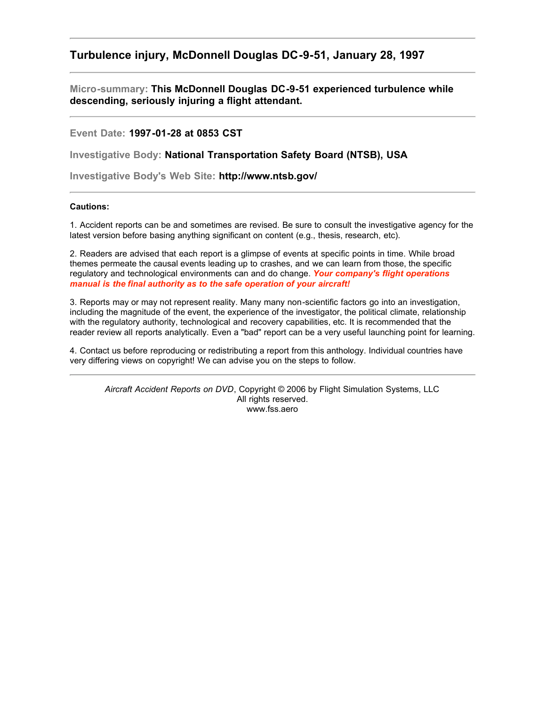# **Turbulence injury, McDonnell Douglas DC-9-51, January 28, 1997**

**Micro-summary: This McDonnell Douglas DC-9-51 experienced turbulence while descending, seriously injuring a flight attendant.**

**Event Date: 1997-01-28 at 0853 CST**

**Investigative Body: National Transportation Safety Board (NTSB), USA**

**Investigative Body's Web Site: http://www.ntsb.gov/**

# **Cautions:**

1. Accident reports can be and sometimes are revised. Be sure to consult the investigative agency for the latest version before basing anything significant on content (e.g., thesis, research, etc).

2. Readers are advised that each report is a glimpse of events at specific points in time. While broad themes permeate the causal events leading up to crashes, and we can learn from those, the specific regulatory and technological environments can and do change. *Your company's flight operations manual is the final authority as to the safe operation of your aircraft!*

3. Reports may or may not represent reality. Many many non-scientific factors go into an investigation, including the magnitude of the event, the experience of the investigator, the political climate, relationship with the regulatory authority, technological and recovery capabilities, etc. It is recommended that the reader review all reports analytically. Even a "bad" report can be a very useful launching point for learning.

4. Contact us before reproducing or redistributing a report from this anthology. Individual countries have very differing views on copyright! We can advise you on the steps to follow.

*Aircraft Accident Reports on DVD*, Copyright © 2006 by Flight Simulation Systems, LLC All rights reserved. www.fss.aero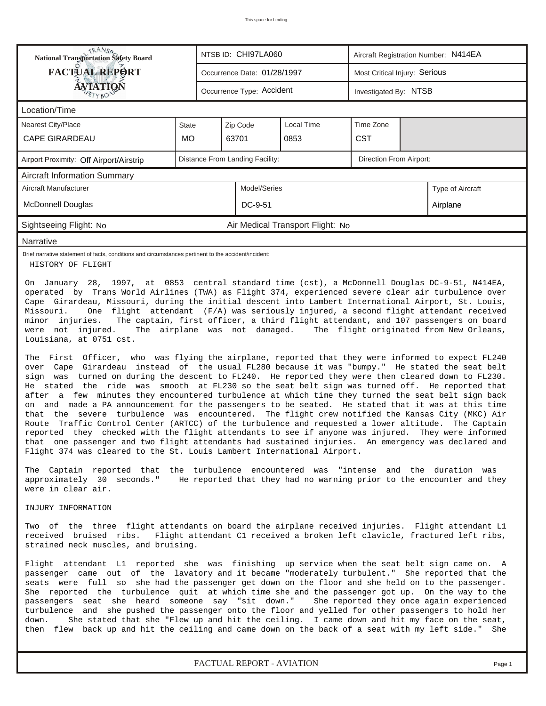| <b>National Transportation Safety Board</b>                                                                                                                                                                                                                                                                                                                                                                                                                                                                                                                                                                                                                                                                                                                                                                                                                                                                                                                                                                                                                                                                                                                                                                                                                                                                                                                                                                                                                                                                                                                     |                             |  | NTSB ID: CHI97LA060             |                                  | Aircraft Registration Number: N414EA |  |                  |  |  |
|-----------------------------------------------------------------------------------------------------------------------------------------------------------------------------------------------------------------------------------------------------------------------------------------------------------------------------------------------------------------------------------------------------------------------------------------------------------------------------------------------------------------------------------------------------------------------------------------------------------------------------------------------------------------------------------------------------------------------------------------------------------------------------------------------------------------------------------------------------------------------------------------------------------------------------------------------------------------------------------------------------------------------------------------------------------------------------------------------------------------------------------------------------------------------------------------------------------------------------------------------------------------------------------------------------------------------------------------------------------------------------------------------------------------------------------------------------------------------------------------------------------------------------------------------------------------|-----------------------------|--|---------------------------------|----------------------------------|--------------------------------------|--|------------------|--|--|
| <b>FACTUAL REPORT</b>                                                                                                                                                                                                                                                                                                                                                                                                                                                                                                                                                                                                                                                                                                                                                                                                                                                                                                                                                                                                                                                                                                                                                                                                                                                                                                                                                                                                                                                                                                                                           | Occurrence Date: 01/28/1997 |  |                                 |                                  | Most Critical Injury: Serious        |  |                  |  |  |
| <b>ÁVIATIQÑ</b>                                                                                                                                                                                                                                                                                                                                                                                                                                                                                                                                                                                                                                                                                                                                                                                                                                                                                                                                                                                                                                                                                                                                                                                                                                                                                                                                                                                                                                                                                                                                                 |                             |  | Occurrence Type: Accident       |                                  | Investigated By: NTSB                |  |                  |  |  |
| Location/Time                                                                                                                                                                                                                                                                                                                                                                                                                                                                                                                                                                                                                                                                                                                                                                                                                                                                                                                                                                                                                                                                                                                                                                                                                                                                                                                                                                                                                                                                                                                                                   |                             |  |                                 |                                  |                                      |  |                  |  |  |
| <b>Nearest City/Place</b>                                                                                                                                                                                                                                                                                                                                                                                                                                                                                                                                                                                                                                                                                                                                                                                                                                                                                                                                                                                                                                                                                                                                                                                                                                                                                                                                                                                                                                                                                                                                       | State                       |  | Zip Code                        | <b>Local Time</b>                | Time Zone                            |  |                  |  |  |
| <b>CAPE GIRARDEAU</b>                                                                                                                                                                                                                                                                                                                                                                                                                                                                                                                                                                                                                                                                                                                                                                                                                                                                                                                                                                                                                                                                                                                                                                                                                                                                                                                                                                                                                                                                                                                                           | <b>MO</b>                   |  | 63701                           | 0853                             | <b>CST</b>                           |  |                  |  |  |
| Airport Proximity: Off Airport/Airstrip                                                                                                                                                                                                                                                                                                                                                                                                                                                                                                                                                                                                                                                                                                                                                                                                                                                                                                                                                                                                                                                                                                                                                                                                                                                                                                                                                                                                                                                                                                                         |                             |  | Distance From Landing Facility: |                                  | <b>Direction From Airport:</b>       |  |                  |  |  |
| <b>Aircraft Information Summary</b>                                                                                                                                                                                                                                                                                                                                                                                                                                                                                                                                                                                                                                                                                                                                                                                                                                                                                                                                                                                                                                                                                                                                                                                                                                                                                                                                                                                                                                                                                                                             |                             |  |                                 |                                  |                                      |  |                  |  |  |
| Aircraft Manufacturer                                                                                                                                                                                                                                                                                                                                                                                                                                                                                                                                                                                                                                                                                                                                                                                                                                                                                                                                                                                                                                                                                                                                                                                                                                                                                                                                                                                                                                                                                                                                           |                             |  | Model/Series                    |                                  |                                      |  | Type of Aircraft |  |  |
| <b>McDonnell Douglas</b>                                                                                                                                                                                                                                                                                                                                                                                                                                                                                                                                                                                                                                                                                                                                                                                                                                                                                                                                                                                                                                                                                                                                                                                                                                                                                                                                                                                                                                                                                                                                        |                             |  | DC-9-51                         |                                  |                                      |  | Airplane         |  |  |
| Sightseeing Flight: No                                                                                                                                                                                                                                                                                                                                                                                                                                                                                                                                                                                                                                                                                                                                                                                                                                                                                                                                                                                                                                                                                                                                                                                                                                                                                                                                                                                                                                                                                                                                          |                             |  |                                 | Air Medical Transport Flight: No |                                      |  |                  |  |  |
| Narrative                                                                                                                                                                                                                                                                                                                                                                                                                                                                                                                                                                                                                                                                                                                                                                                                                                                                                                                                                                                                                                                                                                                                                                                                                                                                                                                                                                                                                                                                                                                                                       |                             |  |                                 |                                  |                                      |  |                  |  |  |
| Brief narrative statement of facts, conditions and circumstances pertinent to the accident/incident:<br>HISTORY OF FLIGHT                                                                                                                                                                                                                                                                                                                                                                                                                                                                                                                                                                                                                                                                                                                                                                                                                                                                                                                                                                                                                                                                                                                                                                                                                                                                                                                                                                                                                                       |                             |  |                                 |                                  |                                      |  |                  |  |  |
| Cape Girardeau, Missouri, during the initial descent into Lambert International Airport, St. Louis,<br>Missouri.<br>One flight attendant (F/A) was seriously injured, a second flight attendant received<br>The captain, first officer, a third flight attendant, and 107 passengers on board<br>minor injuries.<br>were not injured.<br>The airplane was not damaged.<br>The flight originated from New Orleans,<br>Louisiana, at 0751 cst.<br>The First Officer, who was flying the airplane, reported that they were informed to expect FL240<br>over Cape Girardeau instead of the usual FL280 because it was "bumpy." He stated the seat belt<br>sign was turned on during the descent to FL240. He reported they were then cleared down to FL230.<br>He stated the ride was smooth at FL230 so the seat belt sign was turned off. He reported that<br>after a few minutes they encountered turbulence at which time they turned the seat belt sign back<br>on and made a PA announcement for the passengers to be seated. He stated that it was at this time<br>that the severe turbulence was encountered. The flight crew notified the Kansas City (MKC) Air<br>Route Traffic Control Center (ARTCC) of the turbulence and requested a lower altitude. The Captain<br>reported they checked with the flight attendants to see if anyone was injured. They were informed<br>that one passenger and two flight attendants had sustained injuries. An emergency was declared and<br>Flight 374 was cleared to the St. Louis Lambert International Airport. |                             |  |                                 |                                  |                                      |  |                  |  |  |
| The Captain reported that the turbulence encountered was "intense and the duration was<br>approximately 30 seconds." He reported that they had no warning prior to the encounter and they<br>were in clear air.                                                                                                                                                                                                                                                                                                                                                                                                                                                                                                                                                                                                                                                                                                                                                                                                                                                                                                                                                                                                                                                                                                                                                                                                                                                                                                                                                 |                             |  |                                 |                                  |                                      |  |                  |  |  |
| INJURY INFORMATION                                                                                                                                                                                                                                                                                                                                                                                                                                                                                                                                                                                                                                                                                                                                                                                                                                                                                                                                                                                                                                                                                                                                                                                                                                                                                                                                                                                                                                                                                                                                              |                             |  |                                 |                                  |                                      |  |                  |  |  |
| Two of the three flight attendants on board the airplane received injuries. Flight attendant L1<br>received bruised ribs. Flight attendant C1 received a broken left clavicle, fractured left ribs,<br>strained neck muscles, and bruising.                                                                                                                                                                                                                                                                                                                                                                                                                                                                                                                                                                                                                                                                                                                                                                                                                                                                                                                                                                                                                                                                                                                                                                                                                                                                                                                     |                             |  |                                 |                                  |                                      |  |                  |  |  |
| Flight attendant L1 reported she was finishing up service when the seat belt sign came on. A<br>passenger came out of the lavatory and it became "moderately turbulent." She reported that the<br>seats were full so she had the passenger get down on the floor and she held on to the passenger.<br>She reported the turbulence quit at which time she and the passenger got up. On the way to the<br>passengers seat she heard someone say "sit down."<br>She reported they once again experienced<br>turbulence and she pushed the passenger onto the floor and yelled for other passengers to hold her<br>She stated that she "Flew up and hit the ceiling. I came down and hit my face on the seat,<br>down.<br>then flew back up and hit the ceiling and came down on the back of a seat with my left side." She                                                                                                                                                                                                                                                                                                                                                                                                                                                                                                                                                                                                                                                                                                                                         |                             |  |                                 |                                  |                                      |  |                  |  |  |

*FACTUAL REPORT - AVIATION Page 1*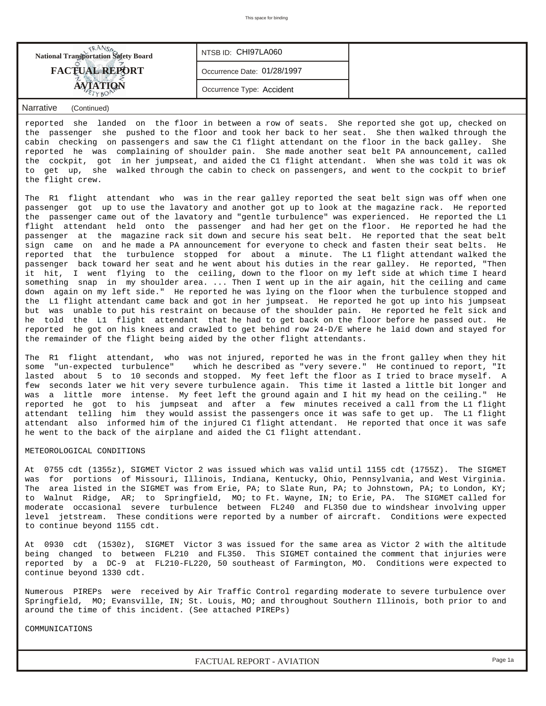| <b>National Transportation Safety Board</b> | INTSBID: CHI97LA060         |  |
|---------------------------------------------|-----------------------------|--|
| <b>FACTUAL REPORT</b>                       | Occurrence Date: 01/28/1997 |  |
|                                             | Occurrence Type: Accident   |  |

## *Narrative (Continued)*

reported she landed on the floor in between a row of seats. She reported she got up, checked on the passenger she pushed to the floor and took her back to her seat. She then walked through the cabin checking on passengers and saw the C1 flight attendant on the floor in the back galley. She reported he was complaining of shoulder pain. She made another seat belt PA announcement, called the cockpit, got in her jumpseat, and aided the C1 flight attendant. When she was told it was ok to get up, she walked through the cabin to check on passengers, and went to the cockpit to brief the flight crew.

The R1 flight attendant who was in the rear galley reported the seat belt sign was off when one passenger got up to use the lavatory and another got up to look at the magazine rack. He reported the passenger came out of the lavatory and "gentle turbulence" was experienced. He reported the L1 flight attendant held onto the passenger and had her get on the floor. He reported he had the passenger at the magazine rack sit down and secure his seat belt. He reported that the seat belt sign came on and he made a PA announcement for everyone to check and fasten their seat belts. He reported that the turbulence stopped for about a minute. The L1 flight attendant walked the passenger back toward her seat and he went about his duties in the rear galley. He reported, "Then it hit, I went flying to the ceiling, down to the floor on my left side at which time I heard something snap in my shoulder area. ... Then I went up in the air again, hit the ceiling and came down again on my left side." He reported he was lying on the floor when the turbulence stopped and the L1 flight attendant came back and got in her jumpseat. He reported he got up into his jumpseat but was unable to put his restraint on because of the shoulder pain. He reported he felt sick and he told the L1 flight attendant that he had to get back on the floor before he passed out. He reported he got on his knees and crawled to get behind row 24-D/E where he laid down and stayed for the remainder of the flight being aided by the other flight attendants.

The R1 flight attendant, who was not injured, reported he was in the front galley when they hit some "un-expected turbulence" which he described as "very severe." He continued to report, "It lasted about 5 to 10 seconds and stopped. My feet left the floor as I tried to brace myself. A few seconds later we hit very severe turbulence again. This time it lasted a little bit longer and was a little more intense. My feet left the ground again and I hit my head on the ceiling." He reported he got to his jumpseat and after a few minutes received a call from the L1 flight attendant telling him they would assist the passengers once it was safe to get up. The L1 flight attendant also informed him of the injured C1 flight attendant. He reported that once it was safe he went to the back of the airplane and aided the C1 flight attendant.

### METEOROLOGICAL CONDITIONS

At 0755 cdt (1355z), SIGMET Victor 2 was issued which was valid until 1155 cdt (1755Z). The SIGMET was for portions of Missouri, Illinois, Indiana, Kentucky, Ohio, Pennsylvania, and West Virginia. The area listed in the SIGMET was from Erie, PA; to Slate Run, PA; to Johnstown, PA; to London, KY; to Walnut Ridge, AR; to Springfield, MO; to Ft. Wayne, IN; to Erie, PA. The SIGMET called for moderate occasional severe turbulence between FL240 and FL350 due to windshear involving upper level jetstream. These conditions were reported by a number of aircraft. Conditions were expected to continue beyond 1155 cdt.

At 0930 cdt (1530z), SIGMET Victor 3 was issued for the same area as Victor 2 with the altitude being changed to between FL210 and FL350. This SIGMET contained the comment that injuries were reported by a DC-9 at FL210-FL220, 50 southeast of Farmington, MO. Conditions were expected to continue beyond 1330 cdt.

Numerous PIREPs were received by Air Traffic Control regarding moderate to severe turbulence over Springfield, MO; Evansville, IN; St. Louis, MO; and throughout Southern Illinois, both prior to and around the time of this incident. (See attached PIREPs)

COMMUNICATIONS

*FACTUAL REPORT - AVIATION Page 1a*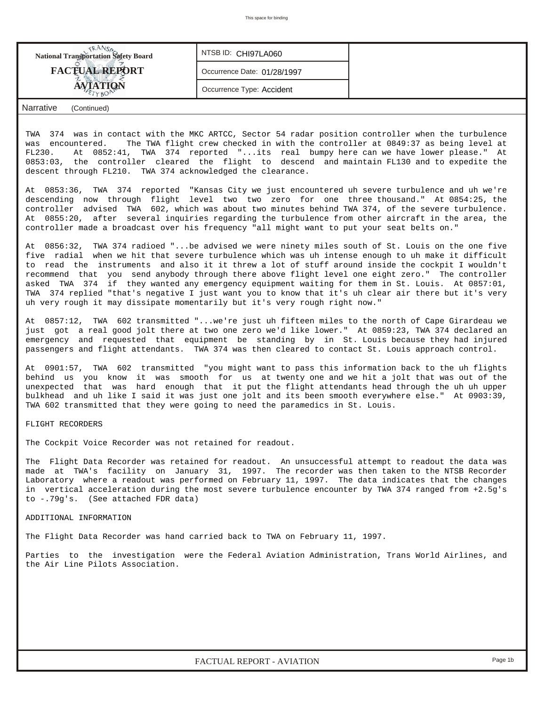| <b>National Transportation Safety Board</b> | NTSB ID: CHI97LA060         |  |
|---------------------------------------------|-----------------------------|--|
| <b>FACTUAL REPORT</b>                       | Occurrence Date: 01/28/1997 |  |
|                                             | Occurrence Type: Accident   |  |
|                                             |                             |  |

*Narrative (Continued)*

TWA 374 was in contact with the MKC ARTCC, Sector 54 radar position controller when the turbulence was encountered. The TWA flight crew checked in with the controller at 0849:37 as being level at FL230. At 0852:41, TWA 374 reported "...its real bumpy here can we have lower please." At 0853:03, the controller cleared the flight to descend and maintain FL130 and to expedite the descent through FL210. TWA 374 acknowledged the clearance.

At 0853:36, TWA 374 reported "Kansas City we just encountered uh severe turbulence and uh we're descending now through flight level two two zero for one three thousand." At 0854:25, the controller advised TWA 602, which was about two minutes behind TWA 374, of the severe turbulence. At 0855:20, after several inquiries regarding the turbulence from other aircraft in the area, the controller made a broadcast over his frequency "all might want to put your seat belts on."

At 0856:32, TWA 374 radioed "...be advised we were ninety miles south of St. Louis on the one five five radial when we hit that severe turbulence which was uh intense enough to uh make it difficult to read the instruments and also it it threw a lot of stuff around inside the cockpit I wouldn't recommend that you send anybody through there above flight level one eight zero." The controller asked TWA 374 if they wanted any emergency equipment waiting for them in St. Louis. At 0857:01, TWA 374 replied "that's negative I just want you to know that it's uh clear air there but it's very uh very rough it may dissipate momentarily but it's very rough right now."

At 0857:12, TWA 602 transmitted "...we're just uh fifteen miles to the north of Cape Girardeau we just got a real good jolt there at two one zero we'd like lower." At 0859:23, TWA 374 declared an emergency and requested that equipment be standing by in St. Louis because they had injured passengers and flight attendants. TWA 374 was then cleared to contact St. Louis approach control.

At 0901:57, TWA 602 transmitted "you might want to pass this information back to the uh flights behind us you know it was smooth for us at twenty one and we hit a jolt that was out of the unexpected that was hard enough that it put the flight attendants head through the uh uh upper bulkhead and uh like I said it was just one jolt and its been smooth everywhere else." At 0903:39, TWA 602 transmitted that they were going to need the paramedics in St. Louis.

#### FLIGHT RECORDERS

The Cockpit Voice Recorder was not retained for readout.

The Flight Data Recorder was retained for readout. An unsuccessful attempt to readout the data was made at TWA's facility on January 31, 1997. The recorder was then taken to the NTSB Recorder Laboratory where a readout was performed on February 11, 1997. The data indicates that the changes in vertical acceleration during the most severe turbulence encounter by TWA 374 ranged from +2.5g's to -.79g's. (See attached FDR data)

ADDITIONAL INFORMATION

The Flight Data Recorder was hand carried back to TWA on February 11, 1997.

Parties to the investigation were the Federal Aviation Administration, Trans World Airlines, and the Air Line Pilots Association.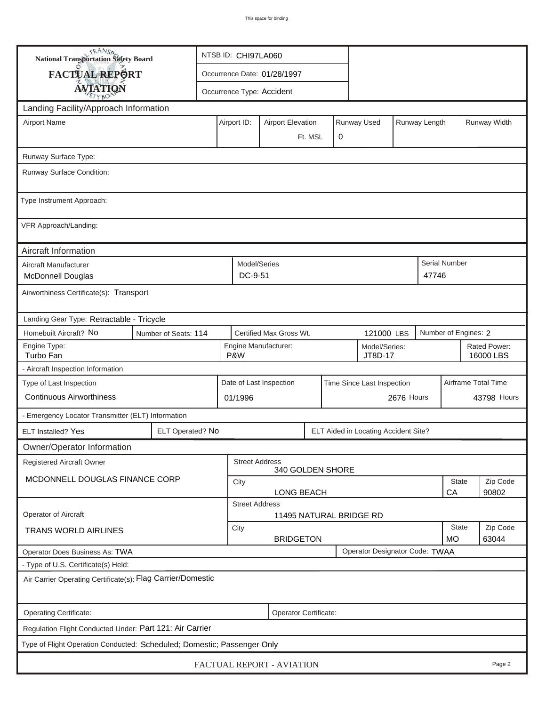| <b>NANSA</b><br>National Transportation Safety Board                    |                          |                                                         | NTSB ID: CHI97LA060                                   |                                      |                          |   |                         |                   |                      |                           |              |
|-------------------------------------------------------------------------|--------------------------|---------------------------------------------------------|-------------------------------------------------------|--------------------------------------|--------------------------|---|-------------------------|-------------------|----------------------|---------------------------|--------------|
| <b>FACTUAL REPORT</b>                                                   |                          |                                                         |                                                       | Occurrence Date: 01/28/1997          |                          |   |                         |                   |                      |                           |              |
| <b>AVIATION</b>                                                         |                          |                                                         | Occurrence Type: Accident                             |                                      |                          |   |                         |                   |                      |                           |              |
| Landing Facility/Approach Information                                   |                          |                                                         |                                                       |                                      |                          |   |                         |                   |                      |                           |              |
| <b>Airport Name</b>                                                     | Airport ID:              |                                                         |                                                       |                                      | <b>Airport Elevation</b> |   | Runway Used             |                   | Runway Length        |                           | Runway Width |
|                                                                         |                          |                                                         |                                                       |                                      | Ft. MSL                  | 0 |                         |                   |                      |                           |              |
| Runway Surface Type:                                                    |                          |                                                         |                                                       |                                      |                          |   |                         |                   |                      |                           |              |
| Runway Surface Condition:                                               |                          |                                                         |                                                       |                                      |                          |   |                         |                   |                      |                           |              |
| Type Instrument Approach:                                               |                          |                                                         |                                                       |                                      |                          |   |                         |                   |                      |                           |              |
| VFR Approach/Landing:                                                   |                          |                                                         |                                                       |                                      |                          |   |                         |                   |                      |                           |              |
| Aircraft Information                                                    |                          |                                                         |                                                       |                                      |                          |   |                         |                   |                      |                           |              |
| Aircraft Manufacturer<br><b>McDonnell Douglas</b>                       |                          |                                                         | Model/Series<br>DC-9-51                               |                                      |                          |   |                         |                   | 47746                | Serial Number             |              |
| Airworthiness Certificate(s): Transport                                 |                          |                                                         |                                                       |                                      |                          |   |                         |                   |                      |                           |              |
| Landing Gear Type: Retractable - Tricycle                               |                          |                                                         |                                                       |                                      |                          |   |                         |                   |                      |                           |              |
| Homebuilt Aircraft? No                                                  | Number of Seats: 114     |                                                         | Certified Max Gross Wt.<br>121000 LBS                 |                                      |                          |   |                         |                   | Number of Engines: 2 |                           |              |
| Engine Type:<br>Turbo Fan                                               |                          | Engine Manufacturer:<br>Model/Series:<br>P&W<br>JT8D-17 |                                                       |                                      |                          |   |                         |                   |                      | Rated Power:<br>16000 LBS |              |
| - Aircraft Inspection Information                                       |                          |                                                         |                                                       |                                      |                          |   |                         |                   |                      |                           |              |
| Type of Last Inspection                                                 |                          |                                                         | Date of Last Inspection<br>Time Since Last Inspection |                                      |                          |   |                         |                   |                      | Airframe Total Time       |              |
| <b>Continuous Airworthiness</b>                                         |                          |                                                         | 2676 Hours<br>01/1996                                 |                                      |                          |   |                         |                   |                      | 43798 Hours               |              |
| - Emergency Locator Transmitter (ELT) Information                       |                          |                                                         |                                                       |                                      |                          |   |                         |                   |                      |                           |              |
| ELT Installed? Yes                                                      | ELT Operated? No         |                                                         |                                                       | ELT Aided in Locating Accident Site? |                          |   |                         |                   |                      |                           |              |
| Owner/Operator Information                                              |                          |                                                         |                                                       |                                      |                          |   |                         |                   |                      |                           |              |
| <b>Registered Aircraft Owner</b>                                        |                          |                                                         | <b>Street Address</b>                                 | 340 GOLDEN SHORE                     |                          |   |                         |                   |                      |                           |              |
| MCDONNELL DOUGLAS FINANCE CORP                                          |                          |                                                         | <b>State</b><br>City                                  |                                      |                          |   |                         |                   |                      | Zip Code                  |              |
|                                                                         |                          | CA<br>90802<br>LONG BEACH<br><b>Street Address</b>      |                                                       |                                      |                          |   |                         |                   |                      |                           |              |
| <b>Operator of Aircraft</b>                                             |                          |                                                         |                                                       |                                      |                          |   | 11495 NATURAL BRIDGE RD |                   |                      |                           |              |
| TRANS WORLD AIRLINES                                                    | City<br><b>BRIDGETON</b> |                                                         |                                                       |                                      |                          |   | State<br><b>MO</b>      | Zip Code<br>63044 |                      |                           |              |
| Operator Designator Code: TWAA<br>Operator Does Business As: TWA        |                          |                                                         |                                                       |                                      |                          |   |                         |                   |                      |                           |              |
| - Type of U.S. Certificate(s) Held:                                     |                          |                                                         |                                                       |                                      |                          |   |                         |                   |                      |                           |              |
| Air Carrier Operating Certificate(s): Flag Carrier/Domestic             |                          |                                                         |                                                       |                                      |                          |   |                         |                   |                      |                           |              |
| Operating Certificate:                                                  |                          |                                                         |                                                       | Operator Certificate:                |                          |   |                         |                   |                      |                           |              |
| Regulation Flight Conducted Under: Part 121: Air Carrier                |                          |                                                         |                                                       |                                      |                          |   |                         |                   |                      |                           |              |
| Type of Flight Operation Conducted: Scheduled; Domestic; Passenger Only |                          |                                                         |                                                       |                                      |                          |   |                         |                   |                      |                           |              |
| FACTUAL REPORT - AVIATION<br>Page 2                                     |                          |                                                         |                                                       |                                      |                          |   |                         |                   |                      |                           |              |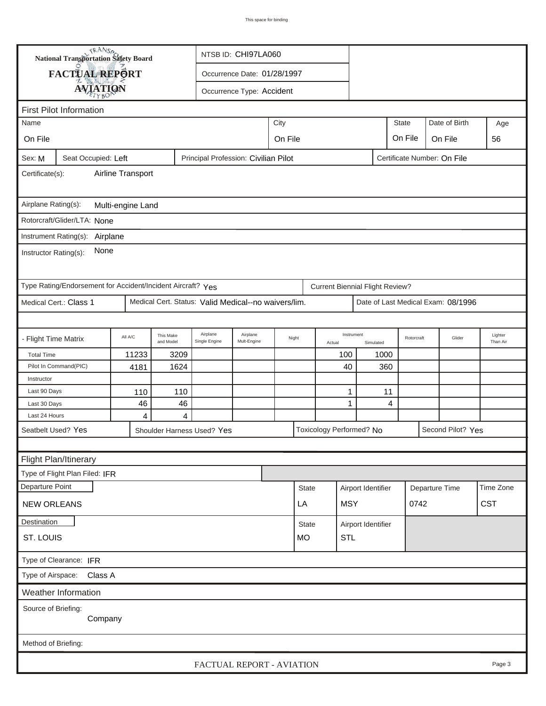| <b>National Transportation Safety Board</b><br>NTSB ID: CHI97LA060              |                                                             |         |                        |                                                      |                           |         |              |  |                                        |                    |            |                                    |                     |
|---------------------------------------------------------------------------------|-------------------------------------------------------------|---------|------------------------|------------------------------------------------------|---------------------------|---------|--------------|--|----------------------------------------|--------------------|------------|------------------------------------|---------------------|
|                                                                                 | FACTUAL REPORT<br>Occurrence Date: 01/28/1997               |         |                        |                                                      |                           |         |              |  |                                        |                    |            |                                    |                     |
|                                                                                 | <b>AVIATION</b>                                             |         |                        |                                                      | Occurrence Type: Accident |         |              |  |                                        |                    |            |                                    |                     |
|                                                                                 |                                                             |         |                        |                                                      |                           |         |              |  |                                        |                    |            |                                    |                     |
| <b>First Pilot Information</b><br>City<br><b>State</b><br>Date of Birth<br>Name |                                                             |         |                        |                                                      |                           |         |              |  |                                        |                    |            |                                    |                     |
|                                                                                 |                                                             |         |                        |                                                      |                           |         |              |  |                                        |                    |            |                                    | Age                 |
| On File                                                                         |                                                             |         |                        |                                                      |                           | On File |              |  |                                        |                    | On File    | On File                            | 56                  |
| Sex: M                                                                          | Seat Occupied: Left                                         |         |                        | Principal Profession: Civilian Pilot                 |                           |         |              |  |                                        |                    |            | Certificate Number: On File        |                     |
| Airline Transport<br>Certificate(s):                                            |                                                             |         |                        |                                                      |                           |         |              |  |                                        |                    |            |                                    |                     |
| Airplane Rating(s):<br>Multi-engine Land                                        |                                                             |         |                        |                                                      |                           |         |              |  |                                        |                    |            |                                    |                     |
|                                                                                 | Rotorcraft/Glider/LTA: None                                 |         |                        |                                                      |                           |         |              |  |                                        |                    |            |                                    |                     |
|                                                                                 | Instrument Rating(s):<br>Airplane                           |         |                        |                                                      |                           |         |              |  |                                        |                    |            |                                    |                     |
| Instructor Rating(s):                                                           | None                                                        |         |                        |                                                      |                           |         |              |  |                                        |                    |            |                                    |                     |
|                                                                                 | Type Rating/Endorsement for Accident/Incident Aircraft? Yes |         |                        |                                                      |                           |         |              |  |                                        |                    |            |                                    |                     |
|                                                                                 |                                                             |         |                        |                                                      |                           |         |              |  | <b>Current Biennial Flight Review?</b> |                    |            |                                    |                     |
|                                                                                 | Medical Cert.: Class 1                                      |         |                        | Medical Cert. Status: Valid Medical--no waivers/lim. |                           |         |              |  |                                        |                    |            | Date of Last Medical Exam: 08/1996 |                     |
|                                                                                 |                                                             |         |                        |                                                      |                           |         |              |  |                                        |                    |            |                                    |                     |
| - Flight Time Matrix                                                            |                                                             | All A/C | This Make<br>and Model | Airplane<br>Single Engine                            | Airplane<br>Mult-Engine   | Night   | Actual       |  | Instrument                             | Simulated          | Rotorcraft | Glider                             | Lighter<br>Than Air |
| <b>Total Time</b>                                                               |                                                             | 11233   | 3209                   |                                                      |                           |         |              |  | 100                                    | 1000               |            |                                    |                     |
|                                                                                 | Pilot In Command(PIC)                                       | 4181    | 1624                   |                                                      |                           |         |              |  | 40                                     | 360                |            |                                    |                     |
| Instructor                                                                      |                                                             |         |                        |                                                      |                           |         |              |  |                                        |                    |            |                                    |                     |
| Last 90 Days                                                                    |                                                             | 110     | 110                    |                                                      |                           |         |              |  | 1                                      | 11<br>4            |            |                                    |                     |
| Last 30 Days                                                                    |                                                             | 46      | 46                     |                                                      |                           |         |              |  | 1                                      |                    |            |                                    |                     |
| Last 24 Hours                                                                   |                                                             | 4       | 4                      |                                                      |                           |         |              |  |                                        |                    |            | Second Pilot? Yes                  |                     |
|                                                                                 | Seatbelt Used? Yes                                          |         |                        | Shoulder Harness Used? Yes                           |                           |         |              |  | Toxicology Performed? No               |                    |            |                                    |                     |
|                                                                                 |                                                             |         |                        |                                                      |                           |         |              |  |                                        |                    |            |                                    |                     |
|                                                                                 | Flight Plan/Itinerary                                       |         |                        |                                                      |                           |         |              |  |                                        |                    |            |                                    |                     |
|                                                                                 | Type of Flight Plan Filed: IFR                              |         |                        |                                                      |                           |         |              |  |                                        |                    |            |                                    |                     |
| Departure Point                                                                 |                                                             |         |                        |                                                      |                           |         | <b>State</b> |  | Airport Identifier                     |                    |            | Departure Time                     | Time Zone           |
| <b>NEW ORLEANS</b><br>LA                                                        |                                                             |         |                        |                                                      |                           |         |              |  | <b>MSY</b>                             |                    | 0742       |                                    | <b>CST</b>          |
| Destination                                                                     |                                                             |         |                        |                                                      |                           |         | <b>State</b> |  |                                        | Airport Identifier |            |                                    |                     |
| ST. LOUIS                                                                       |                                                             |         |                        |                                                      |                           |         | <b>MO</b>    |  | <b>STL</b>                             |                    |            |                                    |                     |
| Type of Clearance: IFR                                                          |                                                             |         |                        |                                                      |                           |         |              |  |                                        |                    |            |                                    |                     |
| Type of Airspace: Class A                                                       |                                                             |         |                        |                                                      |                           |         |              |  |                                        |                    |            |                                    |                     |
|                                                                                 | Weather Information                                         |         |                        |                                                      |                           |         |              |  |                                        |                    |            |                                    |                     |
|                                                                                 | Source of Briefing:<br>Company                              |         |                        |                                                      |                           |         |              |  |                                        |                    |            |                                    |                     |
| Method of Briefing:                                                             |                                                             |         |                        |                                                      |                           |         |              |  |                                        |                    |            |                                    |                     |
|                                                                                 |                                                             |         |                        | FACTUAL REPORT - AVIATION                            |                           |         |              |  |                                        |                    |            |                                    | Page 3              |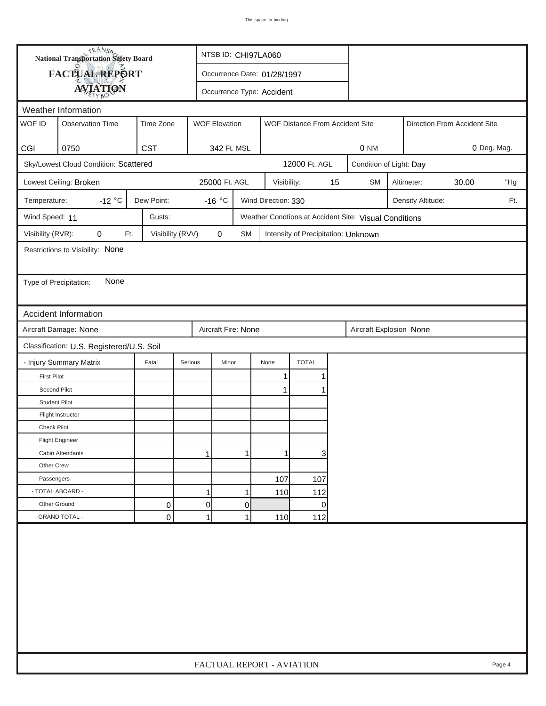|                        | <b>National Transportation Safety Board</b> |                  |                      | NTSB ID: CHI97LA060         |                     |                                     |    |                                                       |                              |                   |             |        |
|------------------------|---------------------------------------------|------------------|----------------------|-----------------------------|---------------------|-------------------------------------|----|-------------------------------------------------------|------------------------------|-------------------|-------------|--------|
|                        | <b>FACTUAL REPORT</b>                       |                  |                      | Occurrence Date: 01/28/1997 |                     |                                     |    |                                                       |                              |                   |             |        |
|                        | <b>AVIATION</b>                             |                  |                      | Occurrence Type: Accident   |                     |                                     |    |                                                       |                              |                   |             |        |
| Weather Information    |                                             |                  |                      |                             |                     |                                     |    |                                                       |                              |                   |             |        |
| WOF ID                 | <b>Observation Time</b>                     | Time Zone        | <b>WOF Elevation</b> |                             |                     | WOF Distance From Accident Site     |    |                                                       | Direction From Accident Site |                   |             |        |
|                        |                                             |                  |                      |                             |                     |                                     |    |                                                       |                              |                   |             |        |
| CGI                    | 0750                                        | <b>CST</b>       |                      | 342 Ft. MSL                 |                     |                                     |    | 0 NM                                                  |                              |                   | 0 Deg. Mag. |        |
|                        | Sky/Lowest Cloud Condition: Scattered       |                  |                      |                             |                     | 12000 Ft. AGL                       |    | Condition of Light: Day                               |                              |                   |             |        |
|                        | Lowest Ceiling: Broken                      |                  |                      | 25000 Ft. AGL               | Visibility:         |                                     | 15 | <b>SM</b>                                             |                              | Altimeter:        | 30.00       | "Hg    |
| Temperature:           | $-12$ °C                                    | Dew Point:       | -16 $^{\circ}$ C     |                             | Wind Direction: 330 |                                     |    |                                                       |                              | Density Altitude: |             | Ft.    |
| Wind Speed: 11         |                                             | Gusts:           |                      |                             |                     |                                     |    | Weather Condtions at Accident Site: Visual Conditions |                              |                   |             |        |
| Visibility (RVR):      | 0<br>Ft.                                    | Visibility (RVV) | 0                    | SM                          |                     | Intensity of Precipitation: Unknown |    |                                                       |                              |                   |             |        |
|                        | Restrictions to Visibility: None            |                  |                      |                             |                     |                                     |    |                                                       |                              |                   |             |        |
|                        |                                             |                  |                      |                             |                     |                                     |    |                                                       |                              |                   |             |        |
| Type of Precipitation: | None                                        |                  |                      |                             |                     |                                     |    |                                                       |                              |                   |             |        |
|                        |                                             |                  |                      |                             |                     |                                     |    |                                                       |                              |                   |             |        |
|                        | <b>Accident Information</b>                 |                  |                      |                             |                     |                                     |    |                                                       |                              |                   |             |        |
|                        | Aircraft Damage: None                       |                  |                      | Aircraft Fire: None         |                     |                                     |    | Aircraft Explosion None                               |                              |                   |             |        |
|                        | Classification: U.S. Registered/U.S. Soil   |                  |                      |                             |                     |                                     |    |                                                       |                              |                   |             |        |
|                        | - Injury Summary Matrix                     | Fatal            | Serious              | Minor                       | None                | <b>TOTAL</b>                        |    |                                                       |                              |                   |             |        |
| <b>First Pilot</b>     |                                             |                  |                      |                             | 1                   | 1                                   |    |                                                       |                              |                   |             |        |
| Second Pilot           |                                             |                  |                      |                             | 1                   | 1                                   |    |                                                       |                              |                   |             |        |
| <b>Student Pilot</b>   |                                             |                  |                      |                             |                     |                                     |    |                                                       |                              |                   |             |        |
|                        | Flight Instructor                           |                  |                      |                             |                     |                                     |    |                                                       |                              |                   |             |        |
| <b>Check Pilot</b>     |                                             |                  |                      |                             |                     |                                     |    |                                                       |                              |                   |             |        |
|                        | <b>Flight Engineer</b>                      |                  |                      |                             |                     |                                     |    |                                                       |                              |                   |             |        |
|                        | Cabin Attendants                            |                  | 1                    | 1                           | 1                   | 3                                   |    |                                                       |                              |                   |             |        |
| Other Crew             |                                             |                  |                      |                             |                     |                                     |    |                                                       |                              |                   |             |        |
| Passengers             |                                             |                  |                      |                             | 107                 | 107                                 |    |                                                       |                              |                   |             |        |
| - TOTAL ABOARD -       |                                             |                  | 1                    | 1                           | 110                 | 112                                 |    |                                                       |                              |                   |             |        |
| Other Ground           |                                             | 0                | $\overline{0}$       | 0                           |                     | 0                                   |    |                                                       |                              |                   |             |        |
|                        | - GRAND TOTAL -                             | 0                | $\mathbf{1}$         | 1                           | 110                 | 112                                 |    |                                                       |                              |                   |             |        |
|                        |                                             |                  |                      |                             |                     |                                     |    |                                                       |                              |                   |             |        |
|                        |                                             |                  |                      | FACTUAL REPORT - AVIATION   |                     |                                     |    |                                                       |                              |                   |             | Page 4 |